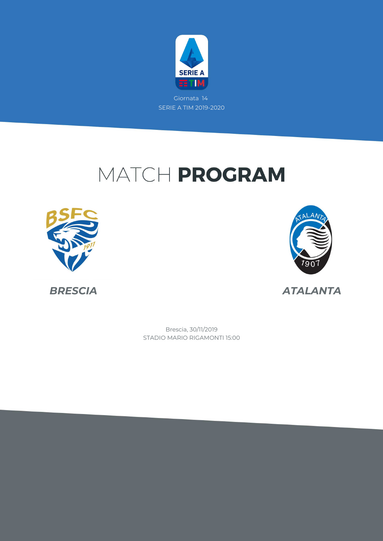

# MATCH PROGRAM





*BRESCIA ATALANTA*

STADIO MARIO RIGAMONTI 15:00 Brescia, 30/11/2019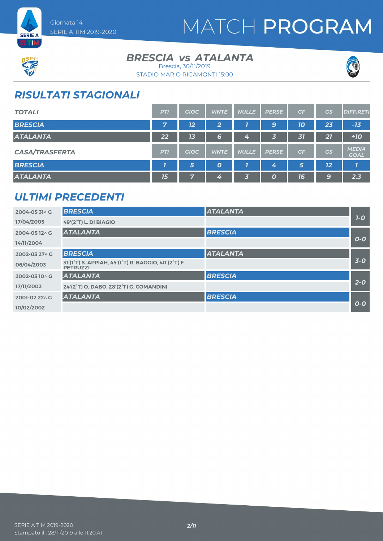



#### **BRESCIA** *vs* ATALANTA Brescia, 30/11/2019





## *RISULTATI STAGIONALI*

| <b>TOTALI</b>         | <b>PTI</b> | <b>GIOC</b> | <b>VINTE</b>     | <b>NULLE</b> | <b>PERSE</b> | GF | GS | <b>DIFF.RETI</b>            |
|-----------------------|------------|-------------|------------------|--------------|--------------|----|----|-----------------------------|
| <b>BRESCIA</b>        | 7          | 12          | 2                |              | 9            | 10 | 23 | $-13$                       |
| <b>ATALANTA</b>       | 22         | 13          | 6                | 4            | 3            | 31 | 27 | $+10$                       |
| <b>CASA/TRASFERTA</b> | <b>PTI</b> | <b>GIOC</b> | <b>VINTE</b>     | <b>NULLE</b> | <b>PERSE</b> | GF | GS | <b>MEDIA</b><br><b>GOAL</b> |
| <b>BRESCIA</b>        |            | 5           | $\boldsymbol{o}$ |              | 4            | 5  | 12 | 7                           |
| <b>ATALANTA</b>       | 15         | 7           | 4                | $\vert$ 3    | 0            | 16 | 9  | 2.3                         |

### *ULTIMI PRECEDENTI*

| 2004-0531 G   | <b>BRESCIA</b>                                                         | <b>ATALANTA</b> |       |
|---------------|------------------------------------------------------------------------|-----------------|-------|
| 17/04/2005    | <b>49'(2°T) L. DI BIAGIO</b>                                           |                 | $1-0$ |
| 2004-0512^G   | <b>ATALANTA</b>                                                        | <b>BRESCIA</b>  |       |
| 14/11/2004    |                                                                        |                 | $O-O$ |
| 2002-03 27^ G | <b>BRESCIA</b>                                                         | <b>ATALANTA</b> |       |
| 06/04/2003    | 31'(1°T) S. APPIAH, 45'(1°T) R. BAGGIO, 40'(2°T) F.<br><b>PETRUZZI</b> |                 | $3-0$ |
| 2002-0310^G   | <b>ATALANTA</b>                                                        | <b>BRESCIA</b>  |       |
| 17/11/2002    | 24'(2°T) O. DABO, 28'(2°T) G. COMANDINI                                |                 | $2-0$ |
| 2001-02 22^ G | <b>ATALANTA</b>                                                        | <b>BRESCIA</b>  |       |
| 10/02/2002    |                                                                        |                 | $0-0$ |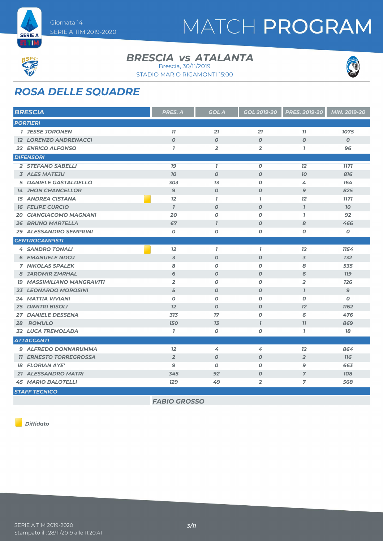

#### **BRESCIA** *vs* ATALANTA Brescia, 30/11/2019

STADIO MARIO RIGAMONTI 15:00



# *ROSA DELLE SQUADRE*

| <b>BRESCIA</b>                    | <b>PRES. A</b>      | <b>GOL A</b>     | <b>GOL 2019-20</b> | <b>PRES. 2019-20</b> | MIN. 2019-20     |
|-----------------------------------|---------------------|------------------|--------------------|----------------------|------------------|
| <b>PORTIERI</b>                   |                     |                  |                    |                      |                  |
| <b>1 JESSE JORONEN</b>            | 11                  | 21               | $\overline{21}$    | 77                   | 1075             |
| <b>12 LORENZO ANDRENACCI</b>      | $\boldsymbol{O}$    | $\boldsymbol{0}$ | $\boldsymbol{O}$   | $\boldsymbol{O}$     | $\boldsymbol{O}$ |
| <b>22 ENRICO ALFONSO</b>          | $\overline{I}$      | $\overline{2}$   | $\overline{2}$     | $\mathbf{7}$         | 96               |
| <b>DIFENSORI</b>                  |                     |                  |                    |                      |                  |
| 2 STEFANO SABELLI                 | 79                  | $\mathbf{7}$     | $\boldsymbol{O}$   | 12                   | <b>1171</b>      |
| <b>3 ALES MATEJU</b>              | 70                  | $\boldsymbol{0}$ | $\boldsymbol{O}$   | 70                   | 816              |
| <b>5 DANIELE GASTALDELLO</b>      | 303                 | 13               | $\boldsymbol{O}$   | 4                    | 164              |
| <b>14 JHON CHANCELLOR</b>         | $\overline{9}$      | $\boldsymbol{O}$ | $\boldsymbol{O}$   | 9                    | 825              |
| <b>15 ANDREA CISTANA</b>          | 12                  | $\mathbf{I}$     | $\mathbf{7}$       | 12                   | <b>1171</b>      |
| <b>16 FELIPE CURCIO</b>           | $\mathbf{7}$        | $\boldsymbol{O}$ | $\boldsymbol{O}$   | $\mathbf{7}$         | $70^{\circ}$     |
| <b>GIANGIACOMO MAGNANI</b><br>20  | 20                  | $\boldsymbol{O}$ | $\boldsymbol{o}$   | $\mathbf{7}$         | 92               |
| <b>26 BRUNO MARTELLA</b>          | 67                  | $\overline{I}$   | $\boldsymbol{O}$   | 8                    | 466              |
| 29 ALESSANDRO SEMPRINI            | $\boldsymbol{O}$    | $\boldsymbol{O}$ | $\boldsymbol{o}$   | O                    | $\boldsymbol{o}$ |
| <b>CENTROCAMPISTI</b>             |                     |                  |                    |                      |                  |
| <b>4 SANDRO TONALI</b>            | 12                  | $\mathbf{7}$     | $\mathbf{I}$       | 12                   | 1154             |
| <b>6 EMANUELE NDOJ</b>            | $\overline{3}$      | $\boldsymbol{0}$ | $\boldsymbol{O}$   | $\overline{3}$       | <b>132</b>       |
| <b>7 NIKOLAS SPALEK</b>           | 8                   | $\boldsymbol{O}$ | $\boldsymbol{O}$   | 8                    | 535              |
| <b>8 JAROMIR ZMRHAL</b>           | 6                   | $\boldsymbol{O}$ | $\boldsymbol{O}$   | 6                    | <b>779</b>       |
| <b>19 MASSIMILIANO MANGRAVITI</b> | $\overline{2}$      | $\boldsymbol{O}$ | $\boldsymbol{o}$   | $\overline{2}$       | <b>126</b>       |
| <b>23 LEONARDO MOROSINI</b>       | 5                   | $\boldsymbol{O}$ | $\boldsymbol{O}$   | $\mathbf{7}$         | 9                |
| 24 MATTIA VIVIANI                 | $\boldsymbol{O}$    | $\boldsymbol{0}$ | $\boldsymbol{O}$   | O                    | 0                |
| <b>25 DIMITRI BISOLI</b>          | 12                  | $\boldsymbol{O}$ | $\boldsymbol{O}$   | 12                   | <b>1162</b>      |
| <b>27 DANIELE DESSENA</b>         | 313                 | 17               | $\boldsymbol{O}$   | 6                    | 476              |
| 28 ROMULO                         | <b>150</b>          | 13               | $\mathbf{I}$       | 11                   | 869              |
| 32 LUCA TREMOLADA                 | $\mathbf{7}$        | $\boldsymbol{O}$ | $\boldsymbol{o}$   | $\mathbf{7}$         | 78               |
| <b>ATTACCANTI</b>                 |                     |                  |                    |                      |                  |
| 9 ALFREDO DONNARUMMA              | $\overline{12}$     | 4                | 4                  | 12                   | 864              |
| <b>11 ERNESTO TORREGROSSA</b>     | $\overline{2}$      | $\boldsymbol{0}$ | $\boldsymbol{O}$   | $\overline{2}$       | <b>116</b>       |
| <b>18 FLORIAN AYE'</b>            | 9                   | $\boldsymbol{0}$ | $\boldsymbol{O}$   | 9                    | 663              |
| <b>21 ALESSANDRO MATRI</b>        | 345                 | 92               | $\boldsymbol{O}$   | $\overline{7}$       | <b>108</b>       |
| <b>45 MARIO BALOTELLI</b>         | <b>129</b>          | 49               | $\overline{2}$     | 7                    | 568              |
| <b>STAFF TECNICO</b>              |                     |                  |                    |                      |                  |
|                                   | <b>FABIO GROSSO</b> |                  |                    |                      |                  |

*Diffidato*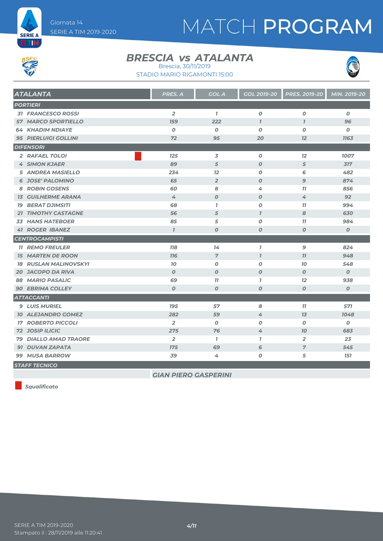



#### **BRESCIA** *vs* ATALANTA Brescia, 30/11/2019

STADIO MARIO RIGAMONTI 15:00



| <b>ATALANTA</b>              | PRES. A          | <b>GOL A</b>     | GOL 2019-20      | <b>PRES. 2019-20</b> | MIN. 2019-20     |
|------------------------------|------------------|------------------|------------------|----------------------|------------------|
| <b>PORTIERI</b>              |                  |                  |                  |                      |                  |
| <b>31 FRANCESCO ROSSI</b>    | $\overline{2}$   | $\mathbf{7}$     | $\boldsymbol{o}$ | $\pmb{o}$            | $\boldsymbol{o}$ |
| <b>57 MARCO SPORTIELLO</b>   | <b>159</b>       | 222              | $\overline{I}$   | $\overline{1}$       | 96               |
| <b>64 KHADIM NDIAYE</b>      | $\boldsymbol{0}$ | $\boldsymbol{0}$ | 0                | $\boldsymbol{O}$     | 0                |
| <b>95 PIERLUIGI GOLLINI</b>  | 72               | 95               | 20               | 12                   | <b>1163</b>      |
| <b>DIFENSORI</b>             |                  |                  |                  |                      |                  |
| 2 RAFAEL TOLOI               | 125              | 3                | 0                | 12                   | 1007             |
| <b>4 SIMON KJAER</b>         | 89               | 5                | $\boldsymbol{0}$ | 5                    | 317              |
| <b>5 ANDREA MASIELLO</b>     | 234              | 12               | $\boldsymbol{o}$ | 6                    | 482              |
| <b>6 JOSE' PALOMINO</b>      | 65               | $\overline{2}$   | $\boldsymbol{o}$ | $\mathbf{9}$         | 874              |
| <b>8 ROBIN GOSENS</b>        | 60               | 8                | 4                | 77                   | 856              |
| <b>13 GUILHERME ARANA</b>    | 4                | $\boldsymbol{O}$ | $\boldsymbol{O}$ | 4                    | 92               |
| <b>19 BERAT DJIMSITI</b>     | 68               | $\mathbf{7}$     | 0                | 77                   | 994              |
| <b>21 TIMOTHY CASTAGNE</b>   | 56               | 5                | $\mathbf{7}$     | 8                    | 630              |
| <b>33 HANS HATEBOER</b>      | 85               | 5                | 0                | 11                   | 984              |
| <b>41 ROGER IBANEZ</b>       | $\mathbf{I}$     | $\boldsymbol{0}$ | $\boldsymbol{O}$ | $\boldsymbol{O}$     | $\boldsymbol{O}$ |
| <b>CENTROCAMPISTI</b>        |                  |                  |                  |                      |                  |
| <b>11 REMO FREULER</b>       | <b>118</b>       | 14               | $\overline{1}$   | 9                    | 824              |
| <b>15 MARTEN DE ROON</b>     | <b>776</b>       | $\overline{7}$   | $\overline{1}$   | 11                   | 948              |
| <b>18 RUSLAN MALINOVSKYI</b> | 10               | $\boldsymbol{0}$ | $\boldsymbol{0}$ | 70                   | 548              |
| <b>20 JACOPO DA RIVA</b>     | $\boldsymbol{O}$ | $\boldsymbol{0}$ | $\boldsymbol{0}$ | $\boldsymbol{0}$     | $\mathcal{O}$    |
| <b>88 MARIO PASALIC</b>      | 69               | 77               | $\mathbf{I}$     | 12                   | 938              |
| <b>90 EBRIMA COLLEY</b>      | $\boldsymbol{O}$ | $\boldsymbol{O}$ | $\boldsymbol{0}$ | $\boldsymbol{O}$     | $\pmb{o}$        |
| <b>ATTACCANTI</b>            |                  |                  |                  |                      |                  |
| <b>9 LUIS MURIEL</b>         | <b>195</b>       | 57               | 8                | 11                   | 571              |
| <b>10 ALEJANDRO GOMEZ</b>    | 282              | 59               | 4                | 13                   | 1048             |
| <b>17 ROBERTO PICCOLI</b>    | $\overline{2}$   | 0                | 0                | 0                    | 0                |
| <b>72 JOSIP ILICIC</b>       | 275              | 76               | 4                | 70                   | 683              |
| <b>79 DIALLO AMAD TRAORE</b> | $\overline{2}$   | $\mathbf{7}$     | $\mathbf{I}$     | $\overline{2}$       | 23               |
| <b>91 DUVAN ZAPATA</b>       | <b>175</b>       | 69               | 6                | $\overline{7}$       | 545              |
| <b>99 MUSA BARROW</b>        | 39               | 4                | O                | 5                    | <b>151</b>       |
| <b>STAFF TECNICO</b>         |                  |                  |                  |                      |                  |

*GIAN PIERO GASPERINI*

*Squalificato*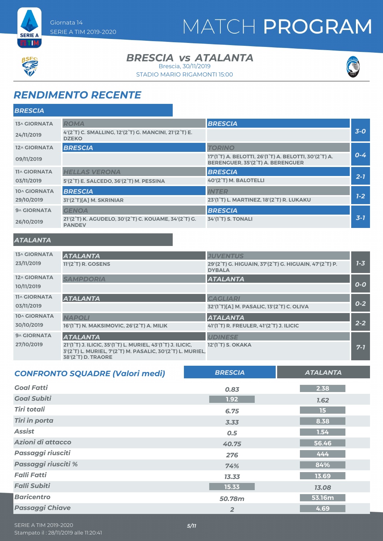



#### **BRESCIA** *vs* ATALANTA Brescia, 30/11/2019

STADIO MARIO RIGAMONTI 15:00



### *RENDIMENTO RECENTE*

| <b>BRESCIA</b>      |                                                                       |                                                                                                                                  |         |
|---------------------|-----------------------------------------------------------------------|----------------------------------------------------------------------------------------------------------------------------------|---------|
| 13^ GIORNATA        | <b>ROMA</b>                                                           | <b>BRESCIA</b>                                                                                                                   |         |
| 24/11/2019          | 4'(2°T) C. SMALLING, 12'(2°T) G. MANCINI, 21'(2°T) E.<br><b>DZEKO</b> |                                                                                                                                  | $3-0$   |
| 12^ GIORNATA        | <b>BRESCIA</b>                                                        | <b>TORINO</b>                                                                                                                    |         |
| 09/11/2019          |                                                                       | 17'(1 <sup>°</sup> T) A. BELOTTI, 26'(1 <sup>°</sup> T) A. BELOTTI, 30'(2 <sup>°</sup> T) A.<br>BERENGUER, 35'(2°T) A. BERENGUER | $0 - 4$ |
| <b>11^ GIORNATA</b> | <b>HELLAS VERONA</b>                                                  | <b>BRESCIA</b>                                                                                                                   |         |
| 03/11/2019          | 5'(2°T) E. SALCEDO, 36'(2°T) M. PESSINA                               | 40'(2°T) M. BALOTELLI                                                                                                            | $2 - 7$ |
| 10^ GIORNATA        | <b>BRESCIA</b>                                                        | <b>INTER</b>                                                                                                                     |         |
| 29/10/2019          | 31'(2°T)[A] M. SKRINIAR                                               | 23'(1°T) L. MARTINEZ, 18'(2°T) R. LUKAKU                                                                                         | $1-2$   |
| 9^ GIORNATA         | <b>GENOA</b>                                                          | <b>BRESCIA</b>                                                                                                                   |         |
| 26/10/2019          | 21'(2°T) K. AGUDELO, 30'(2°T) C. KOUAME, 34'(2°T) G.<br><b>PANDEV</b> | <b>34'(1°T) S. TONALI</b>                                                                                                        | $3-7$   |
| <b>ATALANTA</b>     |                                                                       |                                                                                                                                  |         |
| 13^ GIORNATA        | <b>ATALANTA</b>                                                       | <b>JUVENTUS</b>                                                                                                                  |         |
| 23/11/2019          | 11'(2 <sup>°</sup> T) R. GOSENS                                       | 29'(2°T) G. HIGUAIN, 37'(2°T) G. HIGUAIN, 47'(2°T) P.<br><b>DYBALA</b>                                                           | $1 - 3$ |
| 12^ GIORNATA        | <b>SAMPDORIA</b>                                                      | <b>ATALANTA</b>                                                                                                                  |         |
| 10/11/2019          |                                                                       |                                                                                                                                  | $O-O$   |
| <b>11^ GIORNATA</b> | <b>ATALANTA</b>                                                       | <b>CAGLIARI</b>                                                                                                                  |         |

| <b>IIA GIORNATA</b> | <b>ATALANTA</b>                                                                                                                                                                               | <b>CAGLIARI</b>                                                   |         |
|---------------------|-----------------------------------------------------------------------------------------------------------------------------------------------------------------------------------------------|-------------------------------------------------------------------|---------|
| 03/11/2019          |                                                                                                                                                                                               | 32'(1°T)[A] M. PASALIC, 13'(2°T) C. OLIVA                         | $0 - 2$ |
| 10^ GIORNATA        | <b>NAPOLI</b>                                                                                                                                                                                 | <b>ATALANTA</b>                                                   |         |
| 30/10/2019          | 16'(1°T) N. MAKSIMOVIC, 26'(2°T) A. MILIK                                                                                                                                                     | 41'(1 <sup>°</sup> T) R. FREULER, 41'(2 <sup>°</sup> T) J. ILICIC | $2 - 2$ |
| 9^ GIORNATA         | <b>ATALANTA</b>                                                                                                                                                                               | <b>UDINESE</b>                                                    |         |
| 27/10/2019          | 21'(1 <sup>°</sup> T) J. ILICIC, 35'(1 <sup>°</sup> T) L. MURIEL, 43'(1 <sup>°</sup> T) J. ILICIC,<br>3'(2°T) L. MURIEL, 7'(2°T) M. PASALIC, 30'(2°T) L. MURIEL,<br><b>38'(2°T) D. TRAORE</b> | 12'(1 <sup>°</sup> T) S. OKAKA                                    | $7 - 7$ |

| <b>CONFRONTO SQUADRE (Valori medi)</b> | <b>BRESCIA</b> | <b>ATALANTA</b> |
|----------------------------------------|----------------|-----------------|
| <b>Goal Fatti</b>                      | 0.83           | 2.38            |
| <b>Goal Subiti</b>                     | 1.92           | 1.62            |
| Tiri totali                            | 6.75           | 15              |
| <b>Tiri in porta</b>                   | 3.33           | 8.38            |
| <b>Assist</b>                          | 0.5            | 1.54            |
| Azioni di attacco                      | 40.75          | 56.46           |
| Passaggi riusciti                      | 276            | 444             |
| Passaggi riusciti %                    | 74%            | 84%             |
| <b>Falli Fatti</b>                     | 13.33          | 13.69           |
| <b>Falli Subiti</b>                    | 15.33          | 13.08           |
| <b>Baricentro</b>                      | 50.78m         | 53.16m          |
| <b>Passaggi Chiave</b>                 | $\overline{2}$ | 4.69            |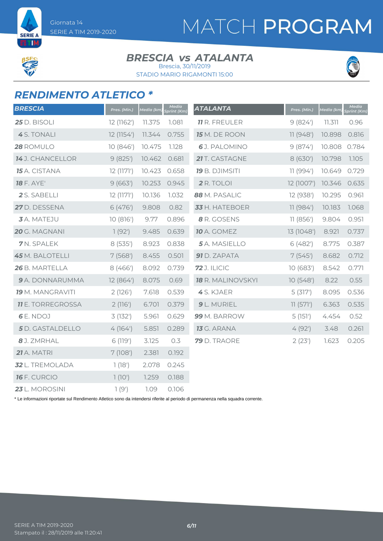# MATCH PROGRAM

**SERIE A** ETIM

#### **BRESCIA** *vs* ATALANTA Brescia, 30/11/2019

STADIO MARIO RIGAMONTI 15:00



## *RENDIMENTO ATLETICO \**

| <b>BRESCIA</b>           | Pres. (Min.) | Media (km) | Media<br>Sprint (Km) | <b>ATALANTA</b>       | Pres. (Min.) | Media (km) | Media<br>Sprint (Km) |
|--------------------------|--------------|------------|----------------------|-----------------------|--------------|------------|----------------------|
| 25 D. BISOLI             | 12 (1162')   | 11.375     | 1.081                | <b>11</b> R. FREULER  | 9(824)       | 11.311     | 0.96                 |
| 4 S. TONALI              | 12 (1154')   | 11.344     | 0.755                | 15 M. DE ROON         | 11(948)      | 10.898     | 0.816                |
| 28 ROMULO                | 10(846)      | 10.475     | 1.128                | 6J. PALOMINO          | 9(874)       | 10.808     | 0.784                |
| 14 J. CHANCELLOR         | 9(825)       | 10.462     | 0.681                | 21 T. CASTAGNE        | 8 (630')     | 10.798     | 1.105                |
| 15 A. CISTANA            | 12(1171)     | 10.423     | 0.658                | <b>19</b> B. DJIMSITI | 11(994)      | 10.649     | 0.729                |
| <b>18</b> F. AYE'        | 9(663)       | 10.253     | 0.945                | 2 R. TOLOI            | 12 (1007')   | 10.346     | 0.635                |
| 2 S. SABELLI             | 12(1171)     | 10.136     | 1.032                | 88 M. PASALIC         | 12 (938')    | 10.295     | 0.961                |
| 27 D. DESSENA            | 6(476)       | 9.808      | 0.82                 | 33 H. HATEBOER        | 11(984)      | 10.183     | 1.068                |
| <b>3</b> A. MATEJU       | 10(816)      | 9.77       | 0.896                | 8 R. GOSENS           | 11(856')     | 9.804      | 0.951                |
| 20 G. MAGNANI            | 1(92)        | 9.485      | 0.639                | <b>10</b> A. GOMEZ    | 13 (1048')   | 8.921      | 0.737                |
| 7N. SPALEK               | 8(535)       | 8.923      | 0.838                | 5 A. MASIELLO         | 6(482)       | 8.775      | 0.387                |
| <b>45</b> M. BALOTELLI   | 7(568)       | 8.455      | 0.501                | 91 D. ZAPATA          | 7(545)       | 8.682      | 0.712                |
| 26 B. MARTELLA           | 8(466')      | 8.092      | 0.739                | <b>72</b> J. ILICIC   | 10(683)      | 8.542      | 0.771                |
| 9 A. DONNARUMMA          | 12 (864')    | 8.075      | 0.69                 | 18 R. MALINOVSKYI     | 10(548)      | 8.22       | 0.55                 |
| <b>19</b> M. MANGRAVITI  | 2(126')      | 7.618      | 0.539                | 4S. KJAER             | 5(317)       | 8.095      | 0.536                |
| <b>11</b> E. TORREGROSSA | 2(116')      | 6.701      | 0.379                | 9 L. MURIEL           | 11(571)      | 6.363      | 0.535                |
| 6 E. NDOJ                | 3(132)       | 5.961      | 0.629                | 99 M. BARROW          | 5(151)       | 4.454      | 0.52                 |
| 5 D. GASTALDELLO         | 4(164)       | 5.851      | 0.289                | <b>13</b> G. ARANA    | 4(92)        | 3.48       | 0.261                |
| 8 J. ZMRHAL              | 6 (119')     | 3.125      | 0.3                  | 79 D. TRAORE          | 2(23')       | 1.623      | 0.205                |
| 21 A. MATRI              | 7(108)       | 2.381      | 0.192                |                       |              |            |                      |
| 32 L. TREMOLADA          | 1(18')       | 2.078      | 0.245                |                       |              |            |                      |
| <b>16</b> F. CURCIO      | 1(10')       | 1.259      | 0.188                |                       |              |            |                      |
| 23 L. MOROSINI           | 1(9)         | 1.09       | 0.106                |                       |              |            |                      |

\* Le informazioni riportate sul Rendimento Atletico sono da intendersi riferite al periodo di permanenza nella squadra corrente.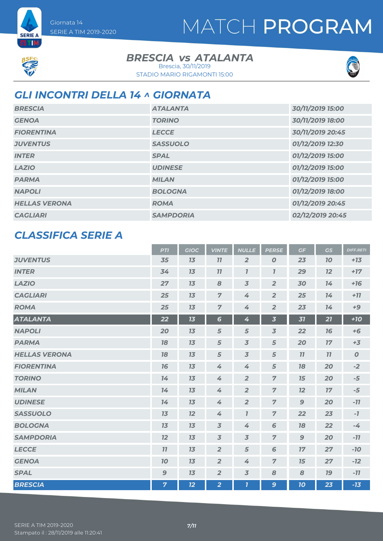



**SERIE A ETM** 

### **BRESCIA** *vs* ATALANTA

STADIO MARIO RIGAMONTI 15:00 Brescia, 30/11/2019



### *GLI INCONTRI DELLA 14 ^ GIORNATA*

| <b>BRESCIA</b>       | <b>ATALANTA</b>  | 30/11/2019 15:00 |
|----------------------|------------------|------------------|
| <b>GENOA</b>         | <b>TORINO</b>    | 30/11/2019 18:00 |
| <b>FIORENTINA</b>    | <b>LECCE</b>     | 30/11/2019 20:45 |
| <b>JUVENTUS</b>      | <b>SASSUOLO</b>  | 01/12/2019 12:30 |
| <b>INTER</b>         | <b>SPAL</b>      | 01/12/2019 15:00 |
| <b>LAZIO</b>         | <b>UDINESE</b>   | 01/12/2019 15:00 |
| <b>PARMA</b>         | <b>MILAN</b>     | 01/12/2019 15:00 |
| <b>NAPOLI</b>        | <b>BOLOGNA</b>   | 01/12/2019 18:00 |
| <b>HELLAS VERONA</b> | <b>ROMA</b>      | 01/12/2019 20:45 |
| <b>CAGLIARI</b>      | <b>SAMPDORIA</b> | 02/12/2019 20:45 |

### *CLASSIFICA SERIE A*

|                      | <b>PTI</b>     | <b>GIOC</b> | <b>VINTE</b>   | <b>NULLE</b>            | <b>PERSE</b>            | GF           | GS        | <b>DIFF.RETI</b> |
|----------------------|----------------|-------------|----------------|-------------------------|-------------------------|--------------|-----------|------------------|
| <b>JUVENTUS</b>      | 35             | 13          | 11             | $\overline{2}$          | $\boldsymbol{0}$        | 23           | <b>10</b> | $+13$            |
| <b>INTER</b>         | 34             | 13          | 77             | $\mathbf{I}$            | $\overline{I}$          | 29           | 12        | $+17$            |
| <b>LAZIO</b>         | 27             | 13          | 8              | $\overline{3}$          | $\overline{2}$          | 30           | 14        | $+16$            |
| <b>CAGLIARI</b>      | 25             | 13          | $\overline{7}$ | 4                       | $\overline{2}$          | 25           | 14        | $+77$            |
| <b>ROMA</b>          | 25             | 13          | $\overline{7}$ | 4                       | $\overline{2}$          | 23           | 14        | $+9$             |
| <b>ATALANTA</b>      | 22             | 13          | $6\phantom{1}$ | 4                       | $\overline{\mathbf{3}}$ | 31           | 21        | $+10$            |
| <b>NAPOLI</b>        | 20             | 13          | 5              | $\sqrt{5}$              | $\overline{3}$          | 22           | 16        | $+6$             |
| <b>PARMA</b>         | 78             | 13          | 5              | $\overline{3}$          | 5                       | 20           | 17        | $+3$             |
| <b>HELLAS VERONA</b> | 18             | 13          | 5              | $\overline{3}$          | 5                       | 11           | 11        | $\boldsymbol{O}$ |
| <b>FIORENTINA</b>    | 16             | 13          | 4              | 4                       | $\sqrt{5}$              | 18           | 20        | $-2$             |
| <b>TORINO</b>        | 14             | 13          | 4              | $\overline{2}$          | $\overline{7}$          | 15           | 20        | $-5$             |
| <b>MILAN</b>         | 14             | 13          | $\overline{4}$ | $\overline{2}$          | $\overline{z}$          | 12           | 17        | $-5$             |
| <b>UDINESE</b>       | 14             | 13          | 4              | $\overline{2}$          | $\overline{7}$          | $\mathbf{9}$ | 20        | $-11$            |
| <b>SASSUOLO</b>      | 13             | 12          | 4              | $\mathbf{I}$            | $\overline{7}$          | 22           | 23        | $-7$             |
| <b>BOLOGNA</b>       | 13             | 13          | $\overline{3}$ | 4                       | 6                       | 18           | 22        | $-4$             |
| <b>SAMPDORIA</b>     | 12             | 13          | $\overline{3}$ | $\overline{3}$          | $\overline{7}$          | 9            | 20        | $-11$            |
| <b>LECCE</b>         | 11             | 13          | $\overline{2}$ | 5                       | 6                       | 17           | 27        | $-10$            |
| <b>GENOA</b>         | 70             | 13          | $\overline{2}$ | 4                       | $\overline{7}$          | 15           | 27        | $-12$            |
| <b>SPAL</b>          | 9              | 13          | $\overline{2}$ | $\overline{3}$          | 8                       | 8            | <b>19</b> | $-77$            |
| <b>BRESCIA</b>       | $\overline{7}$ | 12          | $\overline{2}$ | $\overline{\mathbf{I}}$ | 9                       | 10           | 23        | $-13$            |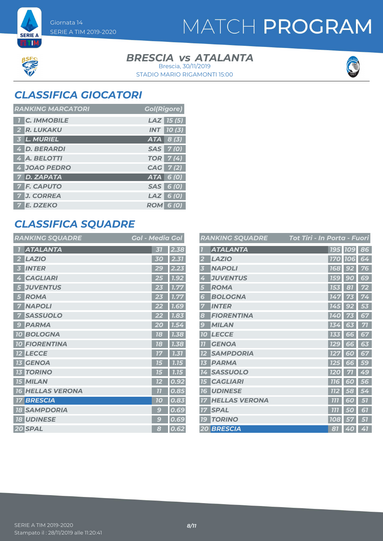### **BRESCIA** *vs* ATALANTA Brescia, 30/11/2019



### *CLASSIFICA GIOCATORI*

SERIE A TIM 2019-2020

Giornata 14

**SERIE A ETM** 

| <b>RANKING MARCATORI</b> | <b>Gol(Rigore)</b>  |
|--------------------------|---------------------|
| <b>C. IMMOBILE</b>       | $LAZ$ 15 (5)        |
| 2 R. LUKAKU              | $INT$ $10(3)$       |
| 3 L. MURIEL              | $ATA \, 8 \, (3)$   |
| 4 D. BERARDI             | SAS 7(0)            |
| 4 A. BELOTTI             | <b>TOR</b> 7(4)     |
| 4 JOAO PEDRO             | CAG 7(2)            |
| 7 D. ZAPATA              | $ATA$ 6 (0)         |
| <b>7 F. CAPUTO</b>       | SAS 6 (0)           |
| J. CORREA                | $LAZ$ 6 (0)         |
| 7 E. DZEKO               | <b>ROM</b><br>6 (0) |

## *CLASSIFICA SQUADRE*

| <b>RANKING SQUADRE</b>         | <b>Gol - Media Gol</b>          |
|--------------------------------|---------------------------------|
| <b>ATALANTA</b>                | 2.38<br>51                      |
| <b>LAZIO</b>                   | 30                              |
| <b>INTER</b><br>51             | $\epsilon$<br>2.23<br>2         |
| <b>CAGLIARI</b><br>Ą           | 1.92<br>25                      |
| <b>JUVENTUS</b><br>5           | 1.77<br>23                      |
| <b>ROMA</b><br>5               | 1.77                            |
| <b>NAPOLI</b>                  | 1.69                            |
| <b>SASSUOLO</b>                | 1.83                            |
| <b>PARMA</b><br>$\epsilon$     | 20<br>7.5.                      |
| <b>BOLOGNA</b><br><b>10</b>    | 1.38<br>78                      |
| <b>FIORENTINA</b><br><b>10</b> | 1.38<br>78                      |
| <b>LECCE</b>                   | 1.31                            |
| <b>GENOA</b>                   | 7.75<br>75                      |
| <b>TORINO</b><br>13            | 15<br>7.75                      |
| <b>15 MILAN</b>                | 0.92<br>12                      |
| <b>HELLAS VERONA</b><br>76     | 77<br>0.85                      |
| <b>BRESCIA</b>                 | 0.83<br>70                      |
| <b>SAMPDORIA</b><br>18         | $\overline{\mathsf{e}}$<br>0.69 |
| <b>UDINESE</b><br><b>18</b>    | 0.69<br>C                       |
| 20 SPAL                        | 0.62<br>8                       |

|                         | <b>RANKING SQUADRE</b> | <u> Tot Tiri - In Porta - Fuori</u> |            |                |    |
|-------------------------|------------------------|-------------------------------------|------------|----------------|----|
| $\overline{1}$          | <b>ATALANTA</b>        |                                     |            | 195 109 86     |    |
| $\overline{\mathbf{2}}$ | <b>LAZIO</b>           |                                     |            | <b>170 106</b> | 64 |
| 3                       | <b>NAPOLI</b>          |                                     | <b>168</b> | 92             | 76 |
| 4                       | <b>JUVENTUS</b>        | <b>159</b>                          |            | 90             | 69 |
| 5                       | <b>ROMA</b>            | 153                                 |            | 81             | 72 |
| 6                       | <b>BOLOGNA</b>         |                                     | 147        | 73             | 74 |
| 7                       | <b>INTER</b>           | 145                                 |            | 92             | 53 |
| 8                       | <b>FIORENTINA</b>      | 140                                 |            |                | 67 |
| 9                       | <b>MILAN</b>           | 134                                 |            | 63             | 71 |
| 10                      | <b>LECCE</b>           | 133                                 |            | 66             | 67 |
| 77                      | <b>GENOA</b>           | <b>129</b>                          |            | 66             | 63 |
| 12                      | <b>SAMPDORIA</b>       | <b>127</b>                          |            | 60             | 67 |
| 13                      | <b>PARMA</b>           | 125                                 |            | 66             | 59 |
| 74                      | <b>SASSUOLO</b>        | <b>120</b>                          |            | 71             | 49 |
| 15                      | <b>CAGLIARI</b>        | <b>116</b>                          |            | 60             | 56 |
| <b>16</b>               | <b>UDINESE</b>         | <b>112</b>                          |            | 58             | 54 |
| 17                      | <b>HELLAS VERONA</b>   | 777                                 |            | 60             | 51 |
| 17                      | <b>SPAL</b>            | 777                                 |            | 50             | 61 |
| 79                      | <b>TORINO</b>          | <b>108</b>                          |            | 57             | 57 |
|                         | <b>20 BRESCIA</b>      |                                     | 81         | 40             | 41 |



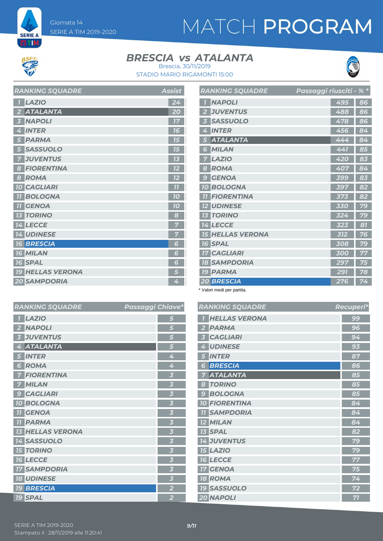# MATCH PROGRAM



**SERIE A** ETM

### **BRESCIA** *vs* ATALANTA



*RANKING SQUADRE Recuperi\**

STADIO MARIO RIGAMONTI 15:00 Brescia, 30/11/2019

| <b>RANKING SQUADRE</b>           | Assist |
|----------------------------------|--------|
| <b>LAZIO</b>                     | 24     |
| <b>ATALANTA</b>                  | 20     |
| <b>NAPOLI</b><br>3               | 77     |
| <b>INTER</b><br>4                | 16     |
| <b>PARMA</b><br>5                | 75     |
| <b>SASSUOLO</b>                  | 75     |
| <b>JUVENTUS</b>                  | 13     |
| <b>FIORENTINA</b><br>8           | 12     |
| <b>ROMA</b><br>8                 | 12     |
| <b>10 CAGLIARI</b>               | 77     |
| <b>BOLOGNA</b>                   | 10     |
| <b>GENOA</b><br>77               | 70     |
| <b>TORINO</b><br>13 <sup>7</sup> | 8      |
| <b>14 LECCE</b>                  | 7      |
| <b>14 UDINESE</b>                | 7      |
| <b>16 BRESCIA</b>                | 6      |
| <b>16 MILAN</b>                  | 6      |
| <b>16 SPAL</b>                   | 6      |
| <b>19 HELLAS VERONA</b>          | 5      |
| <b>20 SAMPDORIA</b>              | 4      |

| <b>RANKING SQUADRE</b>                     | Passaggi riusciti - % * |     |    |
|--------------------------------------------|-------------------------|-----|----|
| <b>NAPOLI</b>                              |                         | 495 | 86 |
| <b>JUVENTUS</b><br>$\overline{\mathbf{2}}$ |                         | 488 | 86 |
| <b>SASSUOLO</b><br>$\overline{\mathbf{3}}$ |                         | 478 | 86 |
| <b>INTER</b><br>4                          |                         | 456 | 84 |
| <b>ATALANTA</b><br>15                      |                         | 444 | 84 |
| <b>MILAN</b><br>6                          |                         | 441 | 85 |
| <b>LAZIO</b><br>7                          |                         | 420 | 83 |
| <b>ROMA</b><br>8                           |                         | 407 | 84 |
| <b>GENOA</b><br>$\epsilon$                 |                         | 399 | 83 |
| <b>BOLOGNA</b><br><b>70</b>                |                         | 397 | 82 |
| <b>FIORENTINA</b><br>$\overline{11}$       |                         | 373 | 82 |
| <b>12 UDINESE</b>                          |                         | 330 | 79 |
| <b>TORINO</b><br>73                        |                         | 324 | 79 |
| <b>14 LECCE</b>                            |                         | 323 | 81 |
| <b>HELLAS VERONA</b><br><b>15</b>          |                         | 312 | 76 |
| <b>16 SPAL</b>                             |                         | 308 | 79 |
| <b>17 CAGLIARI</b>                         |                         | 300 | 77 |
| <b>18 SAMPDORIA</b>                        |                         | 297 | 75 |
| <b>19 PARMA</b>                            |                         | 291 | 78 |
| <b>20 BRESCIA</b>                          |                         | 276 | 74 |

\* Valori medi per partita.

| ssaggi Chiave*          | <b>RANKING SQUADRE</b> | Recupe |
|-------------------------|------------------------|--------|
| 5                       | <b>HELLAS VERONA</b>   | 99     |
| 5                       | <b>PARMA</b>           | 96     |
| 5                       | <b>CAGLIARI</b>        | 94     |
| 5                       | <b>UDINESE</b>         | 93     |
| 4                       | <b>INTER</b><br>5      | 87     |
| 4                       | <b>BRESCIA</b><br>6    | 86     |
| $\overline{\mathbf{3}}$ | <b>ATALANTA</b><br>7   | 85     |
| $\overline{\mathbf{3}}$ | <b>TORINO</b><br>8     | 85     |
| $\overline{\mathbf{3}}$ | <b>9 BOLOGNA</b>       | 85     |
| $\overline{\mathbf{3}}$ | <b>10 FIORENTINA</b>   | 84     |
| $\overline{\mathbf{3}}$ | <b>11 SAMPDORIA</b>    | 84     |
| $\overline{\mathbf{3}}$ | <b>12 MILAN</b>        | 84     |
| $\overline{\mathbf{3}}$ | <b>13 SPAL</b>         | 82     |
| $\overline{\mathbf{3}}$ | <b>14 JUVENTUS</b>     | 79     |
| $\overline{\mathbf{3}}$ | <b>15 LAZIO</b>        | 79     |
| $\overline{\mathbf{3}}$ | <b>16 LECCE</b>        | 77     |
| $\overline{\mathbf{3}}$ | <b>17 GENOA</b>        | 75     |
| $\overline{\mathbf{3}}$ | <b>18 ROMA</b>         | 74     |
| $\overline{\mathbf{2}}$ | <b>19 SASSUOLO</b>     | 72     |
| $\overline{2}$          | 20 NAPOLI              | 71     |

#### *RANKING SQUADRE Passaggi Chiave\* LAZIO 5 NAPOLI 5 JUVENTUS 5 ATALANTA 5 INTER 4 ROMA 4 FIORENTINA 3 MILAN 3 CAGLIARI 3 BOLOGNA 3 GENOA 3 PARMA 3 HELLAS VERONA 3 SASSUOLO 3 TORINO 3 LECCE 3 SAMPDORIA 3 UDINESE 3 BRESCIA 2 SPAL 2*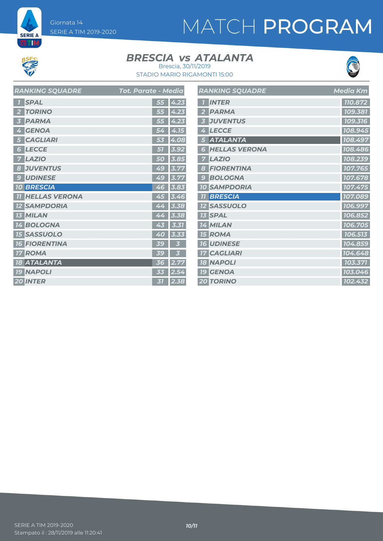# MATCH PROGRAM



**SERIE A ET M** 

#### **BRESCIA** *vs* ATALANTA Brescia, 30/11/2019



STADIO MARIO RIGAMONTI 15:00

|                 | RANKING SQUADRE      | Tot. Parate - Media |  |
|-----------------|----------------------|---------------------|--|
| 7               | <b>SPAL</b>          | 4.23<br>55          |  |
| 2               | <b>TORINO</b>        | 4.23<br>55          |  |
| 3               | <b>PARMA</b>         | 4.23<br>55          |  |
| 4               | <b>GENOA</b>         | 4.15<br>54          |  |
| 5               | <b>CAGLIARI</b>      | 4.08<br>53          |  |
| 6               | <b>LECCE</b>         | 3.92<br>51          |  |
| 7               | <b>LAZIO</b>         | 3.85<br>50          |  |
| 8               | <b>JUVENTUS</b>      | 3.77<br>49          |  |
| 9               | <b>UDINESE</b>       | 49<br>3.77          |  |
|                 | <b>10 BRESCIA</b>    | 3.83<br>46          |  |
| 77              | <b>HELLAS VERONA</b> | 3.46<br>45          |  |
|                 | <b>12 SAMPDORIA</b>  | 3.38<br>44          |  |
|                 | <b>13 MILAN</b>      | 44<br>3.38          |  |
|                 | 14 BOLOGNA           | 43<br>3.31          |  |
|                 | <b>15 SASSUOLO</b>   | 40<br>3.33          |  |
|                 | <b>16 FIORENTINA</b> | 39<br>3             |  |
| 17 <sup>1</sup> | <b>ROMA</b>          | 3<br>39             |  |
|                 | <b>18 ATALANTA</b>   | 2.77<br>36          |  |
|                 | <b>19 NAPOLI</b>     | 2.54<br>33          |  |
|                 | <b>20 INTER</b>      | 2.38<br>31          |  |

|                         | <b>RANKING SQUADRE</b> | <b>Media Km</b>      |
|-------------------------|------------------------|----------------------|
| $\overline{1}$          | <b>INTER</b>           | 110.872              |
| $\overline{\mathbf{2}}$ | <b>PARMA</b>           | 109.381              |
| 3                       | <b>JUVENTUS</b>        | 109.316              |
| 4                       | <b>LECCE</b>           | 108.945              |
| 5                       | <b>ATALANTA</b>        | 108.497              |
| 6                       | <b>HELLAS VERONA</b>   | 108.486              |
| 7                       | <b>LAZIO</b>           | 108.239              |
| 8                       | <b>FIORENTINA</b>      | 107.765              |
| 9                       | <b>BOLOGNA</b>         | 107.678              |
|                         | <b>10 SAMPDORIA</b>    | 107.475              |
| 77                      | <b>BRESCIA</b>         | 107.089              |
|                         | <b>12 SASSUOLO</b>     | 106.997              |
|                         | <b>13 SPAL</b>         | 106.852              |
|                         | <b>14 MILAN</b>        | 106.705              |
|                         | <b>15 ROMA</b>         | 106.513              |
|                         | <b>16 UDINESE</b>      | 104.859              |
|                         | <b>17 CAGLIARI</b>     | 104.648              |
|                         | <b>18 NAPOLI</b>       | 103.371              |
|                         | <b>19 GENOA</b>        | 103.046              |
|                         | <b>20 TORINO</b>       | $\overline{102.432}$ |